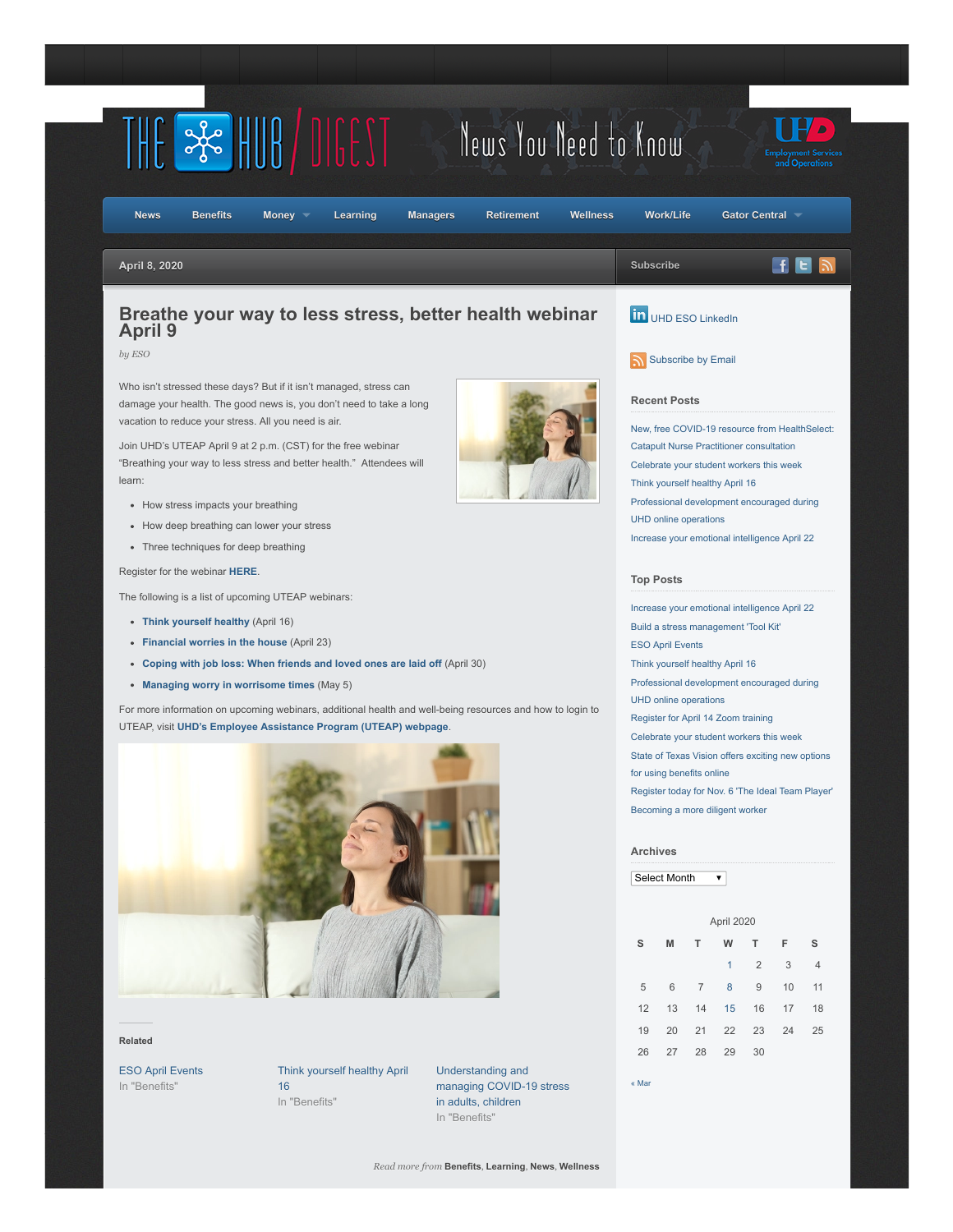

## **Related**

In "Benefits"

[ESO April Events](https://esohub.wordpress.com/2020/04/01/eso-april-events-2/) [Think yourself healthy April](https://esohub.wordpress.com/2020/04/15/think-yourself-healthy-april-16/) 16 In "Benefits"

Understanding and [managing COVID-19 stress](https://esohub.wordpress.com/2020/04/01/understanding-and-managing-covid-19-stress-in-adults-children/) in adults, children In "Benefits"

26 27 28 29 30

[« Mar](https://esohub.wordpress.com/2020/03/)

*Read more from* **[Benefits](https://esohub.wordpress.com/category/benefits/)**, **[Learning](https://esohub.wordpress.com/category/learning/)**, **[News](https://esohub.wordpress.com/category/news/)**, **[Wellness](https://esohub.wordpress.com/category/wellness/)**